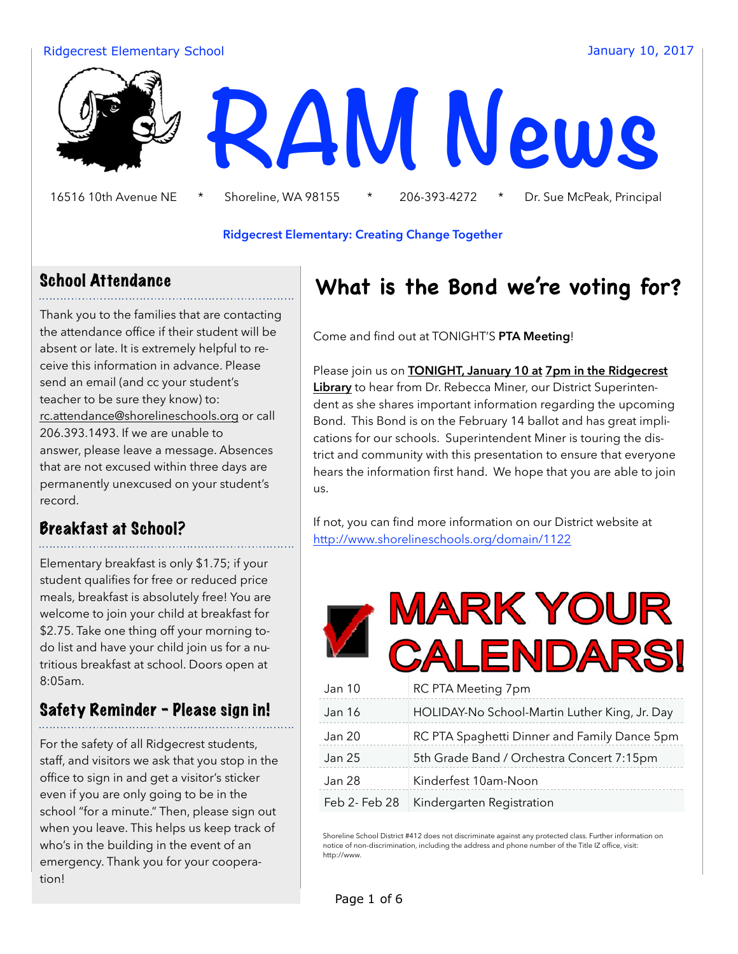#### Ridgecrest Elementary School January 10, 2017



16516 10th Avenue NE \* Shoreline, WA 98155 \* 206-393-4272 \* Dr. Sue McPeak, Principal

#### **Ridgecrest Elementary: Creating Change Together**

### School Attendance

Thank you to the families that are contacting the attendance office if their student will be absent or late. It is extremely helpful to receive this information in advance. Please send an email (and cc your student's teacher to be sure they know) to: rc.attendance@shorelineschools.org or call 206.393.1493. If we are unable to answer, please leave a message. Absences that are not excused within three days are permanently unexcused on your student's record.

### Breakfast at School?

Elementary breakfast is only \$1.75; if your student qualifies for free or reduced price meals, breakfast is absolutely free! You are welcome to join your child at breakfast for \$2.75. Take one thing off your morning todo list and have your child join us for a nutritious breakfast at school. Doors open at 8:05am.

### Safety Reminder - Please sign in!

For the safety of all Ridgecrest students, staff, and visitors we ask that you stop in the office to sign in and get a visitor's sticker even if you are only going to be in the school "for a minute." Then, please sign out when you leave. This helps us keep track of who's in the building in the event of an emergency. Thank you for your cooperation!

## **What is the Bond we're voting for?**

Come and find out at TONIGHT'S **PTA Meeting**!

Please join us on **TONIGHT, January 10 at 7pm in the Ridgecrest Library** to hear from Dr. Rebecca Miner, our District Superintendent as she shares important information regarding the upcoming Bond. This Bond is on the February 14 ballot and has great implications for our schools. Superintendent Miner is touring the district and community with this presentation to ensure that everyone hears the information first hand. We hope that you are able to join us.

If not, you can find more information on our District website at http://www.shorelineschools.org/domain/1122

|               | <b>MARK YOUR</b><br><b>CALENDARS!</b>         |
|---------------|-----------------------------------------------|
| Jan 10        | RC PTA Meeting 7pm                            |
| <b>Jan 16</b> | HOLIDAY-No School-Martin Luther King, Jr. Day |
| <b>Jan 20</b> | RC PTA Spaghetti Dinner and Family Dance 5pm  |
| <b>Jan 25</b> | 5th Grade Band / Orchestra Concert 7:15pm     |
| Jan 28        | Kinderfest 10am-Noon                          |
| Feb 2- Feb 28 | Kindergarten Registration                     |

Shoreline School District #412 does not discriminate against any protected class. Further information on notice of non-discrimination, including the address and phone number of the Title IZ office, visit: http://www.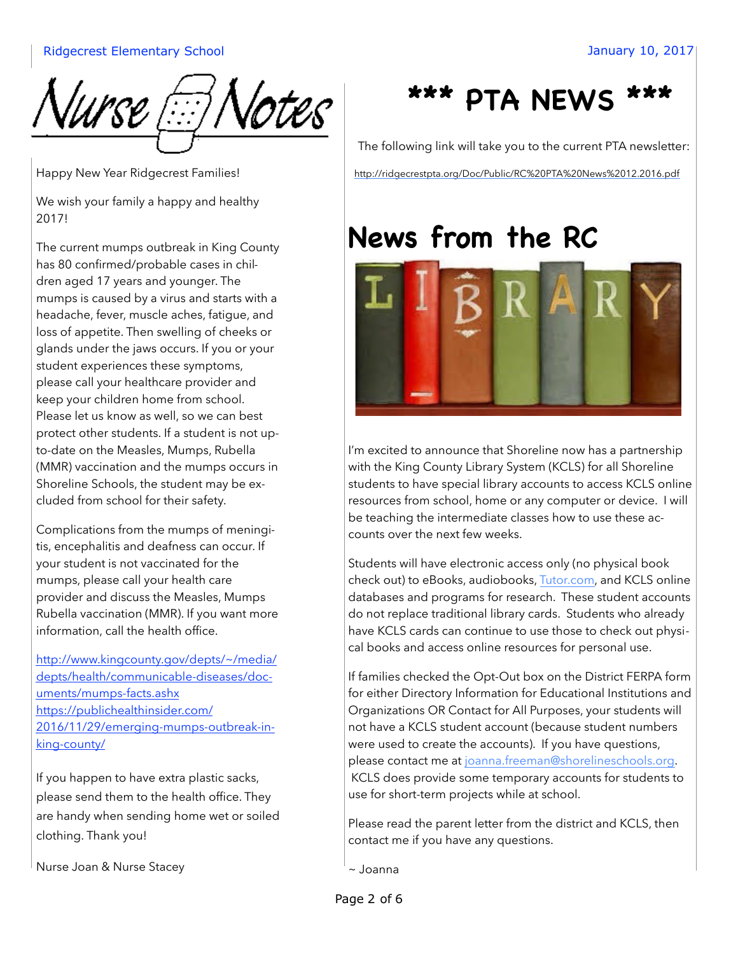

Happy New Year Ridgecrest Families!

We wish your family a happy and healthy 2017!

The current mumps outbreak in King County has 80 confirmed/probable cases in children aged 17 years and younger. The mumps is caused by a virus and starts with a headache, fever, muscle aches, fatigue, and loss of appetite. Then swelling of cheeks or glands under the jaws occurs. If you or your student experiences these symptoms, please call your healthcare provider and keep your children home from school. Please let us know as well, so we can best protect other students. If a student is not upto-date on the Measles, Mumps, Rubella (MMR) vaccination and the mumps occurs in Shoreline Schools, the student may be excluded from school for their safety.

Complications from the mumps of meningitis, encephalitis and deafness can occur. If your student is not vaccinated for the mumps, please call your health care provider and discuss the Measles, Mumps Rubella vaccination (MMR). If you want more information, call the health office.

http://www.kingcounty.gov/depts/~/media/ depts/health/communicable-diseases/documents/mumps-facts.ashx https://publichealthinsider.com/ 2016/11/29/emerging-mumps-outbreak-inking-county/

If you happen to have extra plastic sacks, please send them to the health office. They are handy when sending home wet or soiled clothing. Thank you!

Nurse Joan & Nurse Stacey

## **\*\*\* PTA NEWS \*\*\***

The following link will take you to the current PTA newsletter:

http://ridgecrestpta.org/Doc/Public/RC%20PTA%20News%2012.2016.pdf

## **News from the RC**



I'm excited to announce that Shoreline now has a partnership with the King County Library System (KCLS) for all Shoreline students to have special library accounts to access KCLS online resources from school, home or any computer or device. I will be teaching the intermediate classes how to use these accounts over the next few weeks.

Students will have electronic access only (no physical book check out) to eBooks, audiobooks, Tutor.com, and KCLS online databases and programs for research. These student accounts do not replace traditional library cards. Students who already have KCLS cards can continue to use those to check out physical books and access online resources for personal use.

If families checked the Opt-Out box on the District FERPA form for either Directory Information for Educational Institutions and Organizations OR Contact for All Purposes, your students will not have a KCLS student account (because student numbers were used to create the accounts). If you have questions, please contact me at joanna.freeman@shorelineschools.org. KCLS does provide some temporary accounts for students to use for short-term projects while at school.

Please read the parent letter from the district and KCLS, then contact me if you have any questions.

~ Joanna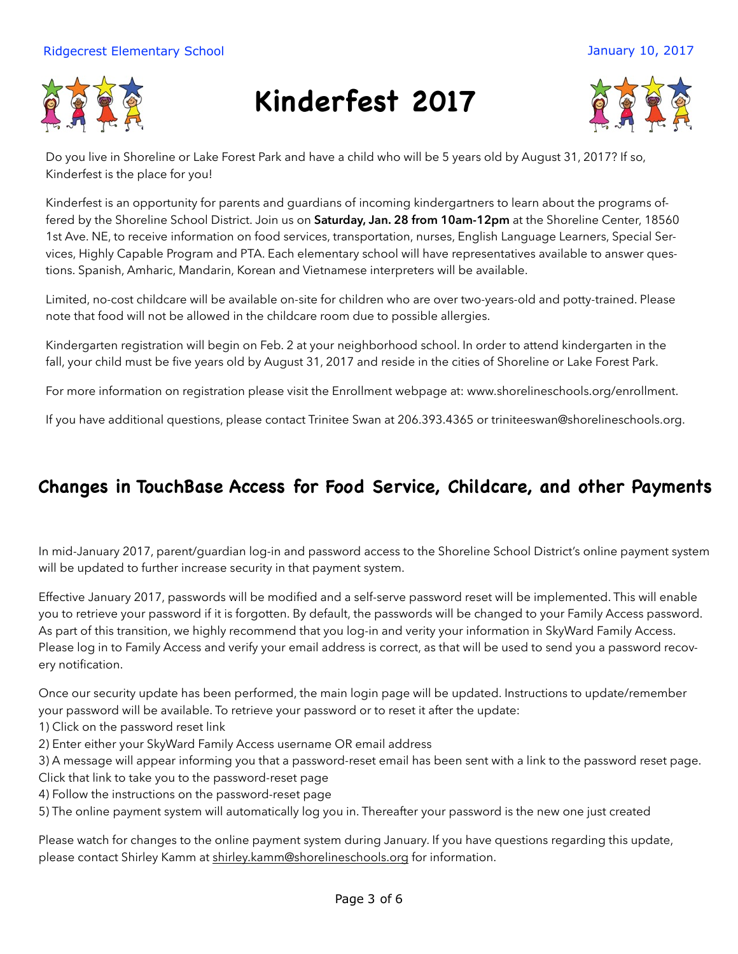#### Ridgecrest Elementary School January 10, 2017



# **Kinderfest 2017**



Do you live in Shoreline or Lake Forest Park and have a child who will be 5 years old by August 31, 2017? If so, Kinderfest is the place for you!

Kinderfest is an opportunity for parents and guardians of incoming kindergartners to learn about the programs offered by the Shoreline School District. Join us on **Saturday, Jan. 28 from 10am-12pm** at the Shoreline Center, 18560 1st Ave. NE, to receive information on food services, transportation, nurses, English Language Learners, Special Services, Highly Capable Program and PTA. Each elementary school will have representatives available to answer questions. Spanish, Amharic, Mandarin, Korean and Vietnamese interpreters will be available.

Limited, no-cost childcare will be available on-site for children who are over two-years-old and potty-trained. Please note that food will not be allowed in the childcare room due to possible allergies.

Kindergarten registration will begin on Feb. 2 at your neighborhood school. In order to attend kindergarten in the fall, your child must be five years old by August 31, 2017 and reside in the cities of Shoreline or Lake Forest Park.

For more information on registration please visit the Enrollment webpage at: www.shorelineschools.org/enrollment.

If you have additional questions, please contact Trinitee Swan at 206.393.4365 or triniteeswan@shorelineschools.org.

### **Changes in TouchBase Access for Food Service, Childcare, and other Payments**

In mid-January 2017, parent/guardian log-in and password access to the Shoreline School District's online payment system will be updated to further increase security in that payment system.

Effective January 2017, passwords will be modified and a self-serve password reset will be implemented. This will enable you to retrieve your password if it is forgotten. By default, the passwords will be changed to your Family Access password. As part of this transition, we highly recommend that you log-in and verity your information in SkyWard Family Access. Please log in to Family Access and verify your email address is correct, as that will be used to send you a password recovery notification.

Once our security update has been performed, the main login page will be updated. Instructions to update/remember your password will be available. To retrieve your password or to reset it after the update:

- 1) Click on the password reset link
- 2) Enter either your SkyWard Family Access username OR email address
- 3) A message will appear informing you that a password-reset email has been sent with a link to the password reset page.
- Click that link to take you to the password-reset page 4) Follow the instructions on the password-reset page
- 5) The online payment system will automatically log you in. Thereafter your password is the new one just created

Please watch for changes to the online payment system during January. If you have questions regarding this update, please contact Shirley Kamm at shirley.kamm@shorelineschools.org for information.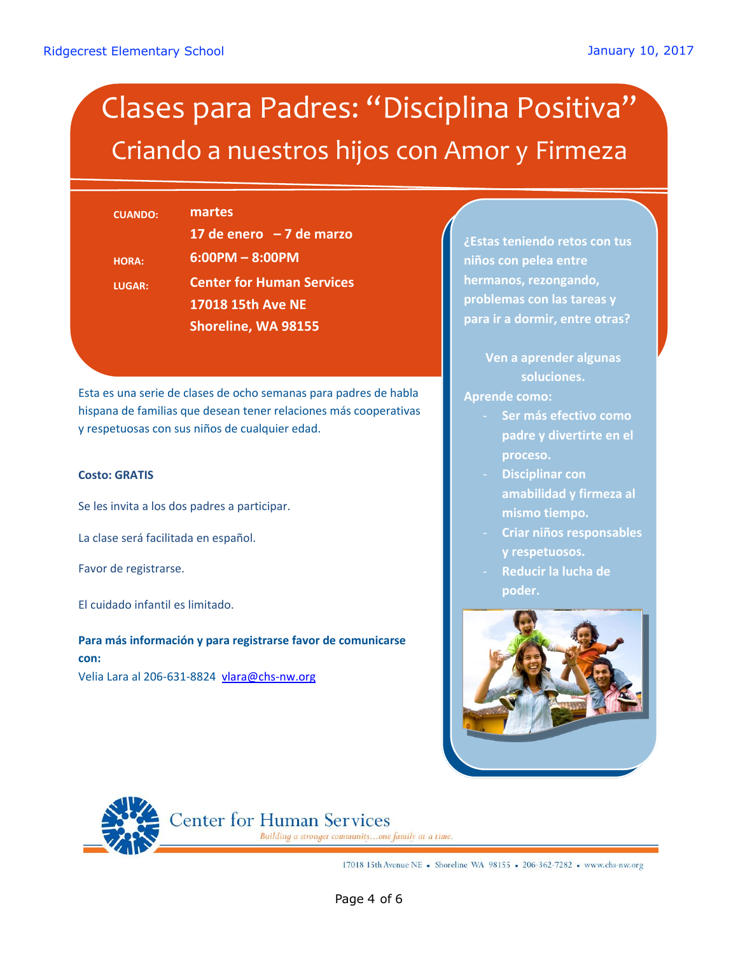# Clases para Padres: "Disciplina Positiva" Criando a nuestros hijos con Amor y Firmeza

| <b>CUANDO:</b> | martes                           |
|----------------|----------------------------------|
|                | 17 de enero $-7$ de marzo        |
| <b>HORA:</b>   | $6:00PM - 8:00PM$                |
| <b>LUGAR:</b>  | <b>Center for Human Services</b> |
|                | 17018 15th Ave NE                |
|                | Shoreline, WA 98155              |
|                |                                  |

Esta es una serie de clases de ocho semanas para padres de habla hispana de familias que desean tener relaciones más cooperativas y respetuosas con sus niños de cualquier edad.

#### **Costo: GRATIS**

Se les invita a los dos padres a participar.

La clase será facilitada en español.

Favor de registrarse.

El cuidado infantil es limitado.

**Para más información y para registrarse favor de comunicarse con:** Velia Lara al 206-631-8824 vlara@chs-nw.org

**¿Estas teniendo retos con tus niños con pelea entre hermanos, rezongando, problemas con las tareas y para ir a dormir, entre otras?**

> **Ven a aprender algunas soluciones.**

**Aprende como:**

- **Ser más efectivo como padre y divertirte en el proceso.**
- **Disciplinar con amabilidad y firmeza al mismo tiempo.**
- **Criar niños responsables y respetuosos.**
- **Reducir la lucha de poder.**





**Center for Human Services** 

Building a stronger community...one family at a time.

17018 15th Avenue NE • Shoreline WA 98155 • 206-362-7282 • www.chs-nw.org